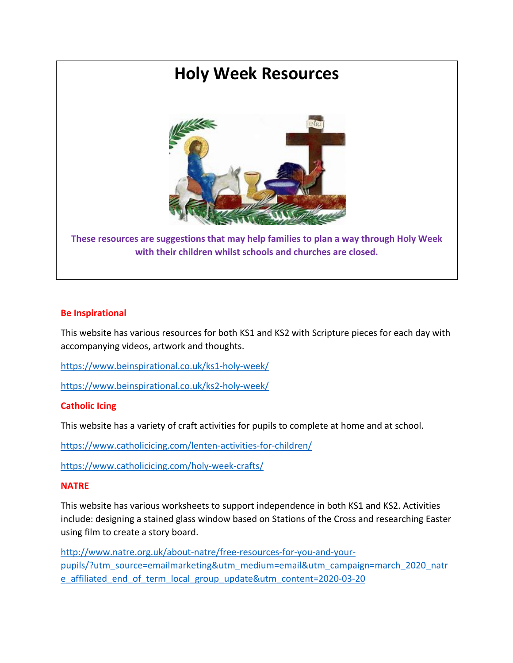# **Holy Week Resources**



**These resources are suggestions that may help families to plan a way through Holy Week with their children whilst schools and churches are closed.** 

## **Be Inspirational**

This website has various resources for both KS1 and KS2 with Scripture pieces for each day with accompanying videos, artwork and thoughts.

https://www.beinspirational.co.uk/ks1-holy-week/

https://www.beinspirational.co.uk/ks2-holy-week/

#### **Catholic Icing**

This website has a variety of craft activities for pupils to complete at home and at school.

https://www.catholicicing.com/lenten-activities-for-children/

https://www.catholicicing.com/holy-week-crafts/

#### **NATRE**

This website has various worksheets to support independence in both KS1 and KS2. Activities include: designing a stained glass window based on Stations of the Cross and researching Easter using film to create a story board.

http://www.natre.org.uk/about-natre/free-resources-for-you-and-yourpupils/?utm\_source=emailmarketing&utm\_medium=email&utm\_campaign=march\_2020\_natr e\_affiliated\_end\_of\_term\_local\_group\_update&utm\_content=2020-03-20